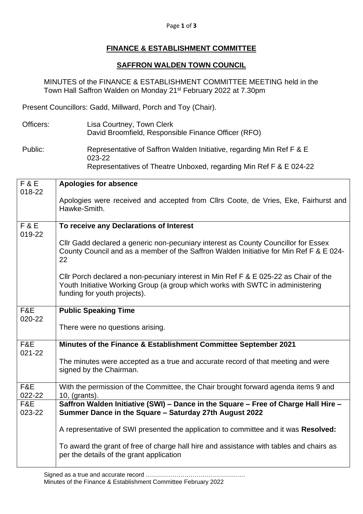## Page **1** of **3**

## **FINANCE & ESTABLISHMENT COMMITTEE**

## **SAFFRON WALDEN TOWN COUNCIL**

MINUTES of the FINANCE & ESTABLISHMENT COMMITTEE MEETING held in the Town Hall Saffron Walden on Monday 21<sup>st</sup> February 2022 at 7.30pm

Present Councillors: Gadd, Millward, Porch and Toy (Chair).

Officers: Lisa Courtney, Town Clerk David Broomfield, Responsible Finance Officer (RFO)

Public: Representative of Saffron Walden Initiative, regarding Min Ref F & E 023-22 Representatives of Theatre Unboxed, regarding Min Ref F & E 024-22

| <b>F&amp;E</b>           | <b>Apologies for absence</b>                                                                                                                                                                           |
|--------------------------|--------------------------------------------------------------------------------------------------------------------------------------------------------------------------------------------------------|
| 018-22                   |                                                                                                                                                                                                        |
|                          | Apologies were received and accepted from Cllrs Coote, de Vries, Eke, Fairhurst and<br>Hawke-Smith.                                                                                                    |
| <b>F&amp;E</b><br>019-22 | To receive any Declarations of Interest                                                                                                                                                                |
|                          | Cllr Gadd declared a generic non-pecuniary interest as County Councillor for Essex<br>County Council and as a member of the Saffron Walden Initiative for Min Ref F & E 024-<br>22                     |
|                          | CIIr Porch declared a non-pecuniary interest in Min Ref F & E 025-22 as Chair of the<br>Youth Initiative Working Group (a group which works with SWTC in administering<br>funding for youth projects). |
| F&E                      | <b>Public Speaking Time</b>                                                                                                                                                                            |
| 020-22                   |                                                                                                                                                                                                        |
|                          | There were no questions arising.                                                                                                                                                                       |
| F&E<br>021-22            | Minutes of the Finance & Establishment Committee September 2021                                                                                                                                        |
|                          | The minutes were accepted as a true and accurate record of that meeting and were<br>signed by the Chairman.                                                                                            |
| F&E                      | With the permission of the Committee, the Chair brought forward agenda items 9 and                                                                                                                     |
| 022-22                   | 10, (grants).                                                                                                                                                                                          |
| F&E<br>023-22            | Saffron Walden Initiative (SWI) - Dance in the Square - Free of Charge Hall Hire -<br>Summer Dance in the Square - Saturday 27th August 2022                                                           |
|                          | A representative of SWI presented the application to committee and it was Resolved:                                                                                                                    |
|                          | To award the grant of free of charge hall hire and assistance with tables and chairs as<br>per the details of the grant application                                                                    |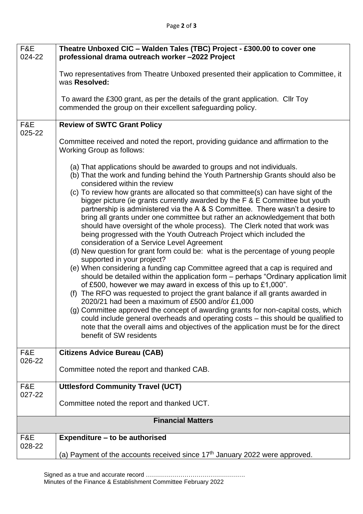| F&E<br>024-22            | Theatre Unboxed CIC - Walden Tales (TBC) Project - £300.00 to cover one<br>professional drama outreach worker -2022 Project                                                                                                                        |  |
|--------------------------|----------------------------------------------------------------------------------------------------------------------------------------------------------------------------------------------------------------------------------------------------|--|
|                          | Two representatives from Theatre Unboxed presented their application to Committee, it                                                                                                                                                              |  |
|                          | was Resolved:                                                                                                                                                                                                                                      |  |
|                          | To award the £300 grant, as per the details of the grant application. Cllr Toy<br>commended the group on their excellent safeguarding policy.                                                                                                      |  |
| F&E                      | <b>Review of SWTC Grant Policy</b>                                                                                                                                                                                                                 |  |
| 025-22                   |                                                                                                                                                                                                                                                    |  |
|                          | Committee received and noted the report, providing guidance and affirmation to the<br><b>Working Group as follows:</b>                                                                                                                             |  |
|                          | (a) That applications should be awarded to groups and not individuals.<br>(b) That the work and funding behind the Youth Partnership Grants should also be<br>considered within the review                                                         |  |
|                          | (c) To review how grants are allocated so that committee(s) can have sight of the<br>bigger picture (ie grants currently awarded by the F & E Committee but youth<br>partnership is administered via the A & S Committee. There wasn't a desire to |  |
|                          | bring all grants under one committee but rather an acknowledgement that both<br>should have oversight of the whole process). The Clerk noted that work was<br>being progressed with the Youth Outreach Project which included the                  |  |
|                          | consideration of a Service Level Agreement                                                                                                                                                                                                         |  |
|                          | (d) New question for grant form could be: what is the percentage of young people<br>supported in your project?                                                                                                                                     |  |
|                          | (e) When considering a funding cap Committee agreed that a cap is required and<br>should be detailed within the application form – perhaps "Ordinary application limit<br>of £500, however we may award in excess of this up to £1,000".           |  |
|                          | (f) The RFO was requested to project the grant balance if all grants awarded in<br>2020/21 had been a maximum of £500 and/or £1,000                                                                                                                |  |
|                          | (g) Committee approved the concept of awarding grants for non-capital costs, which                                                                                                                                                                 |  |
|                          | could include general overheads and operating costs - this should be qualified to<br>note that the overall aims and objectives of the application must be for the direct<br>benefit of SW residents                                                |  |
|                          |                                                                                                                                                                                                                                                    |  |
| F&E<br>026-22            | <b>Citizens Advice Bureau (CAB)</b>                                                                                                                                                                                                                |  |
|                          | Committee noted the report and thanked CAB.                                                                                                                                                                                                        |  |
| F&E                      | <b>Uttlesford Community Travel (UCT)</b>                                                                                                                                                                                                           |  |
| 027-22                   | Committee noted the report and thanked UCT.                                                                                                                                                                                                        |  |
| <b>Financial Matters</b> |                                                                                                                                                                                                                                                    |  |
| F&E                      | Expenditure – to be authorised                                                                                                                                                                                                                     |  |
| 028-22                   | (a) Payment of the accounts received since $17th$ January 2022 were approved.                                                                                                                                                                      |  |